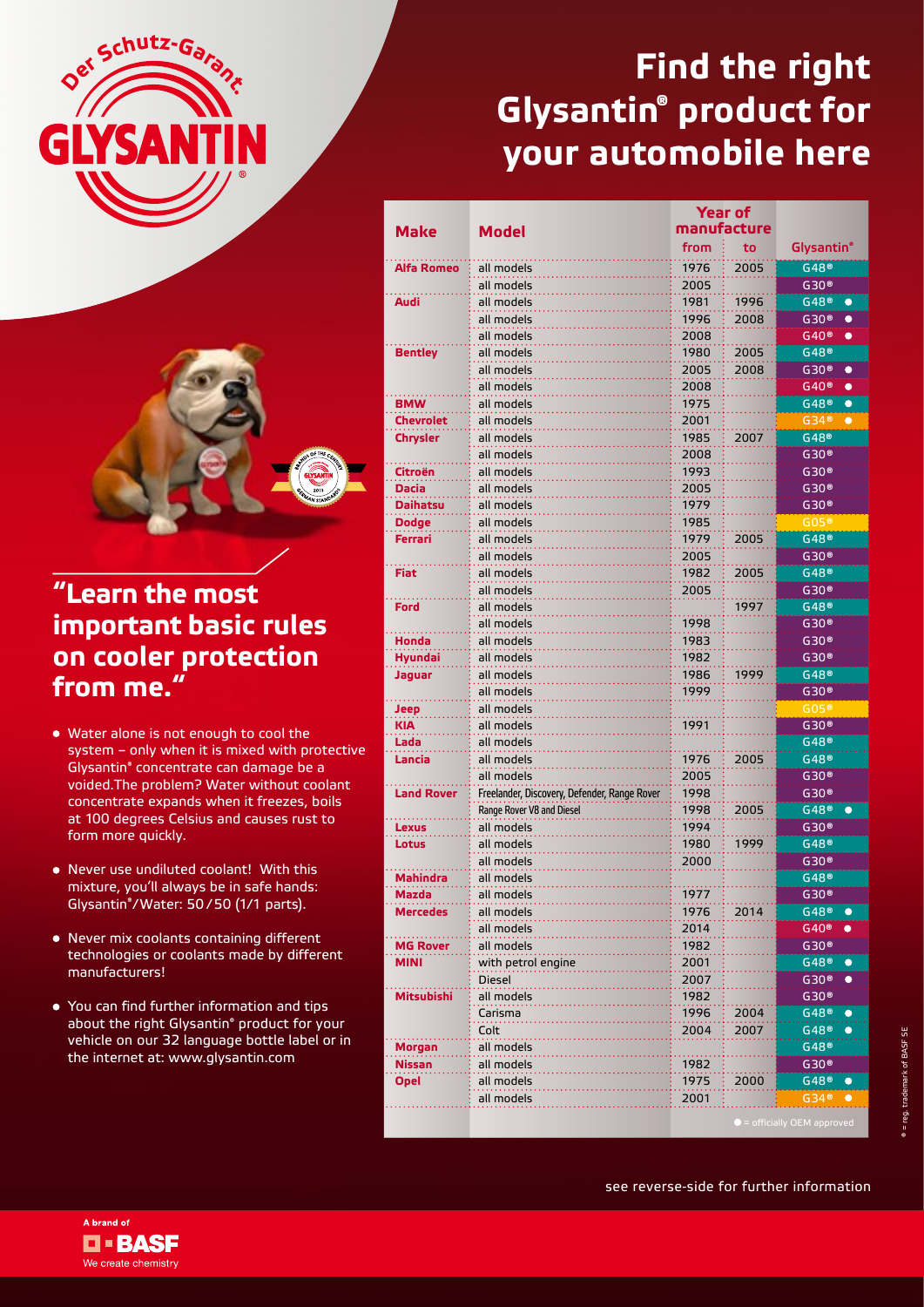



## **"Learn the most important basic rules on cooler protection from me."**

- Water alone is not enough to cool the system – only when it is mixed with protective Glysantin® concentrate can damage be a voided.The problem? Water without coolant concentrate expands when it freezes, boils at 100 degrees Celsius and causes rust to form more quickly.
- Never use undiluted coolant! With this mixture, you'll always be in safe hands: Glysantin® /Water: 50/50 (1/1 parts).
- Never mix coolants containing different technologies or coolants made by different manufacturers!
- You can find further information and tips about the right Glysantin® product for your vehicle on our 32 language bottle label or in the internet at: www.glysantin.com

## **Find the right Glysantin® product for your automobile here**

|                                |                                              | <b>Year of</b><br>manufacture |      |                                                   |
|--------------------------------|----------------------------------------------|-------------------------------|------|---------------------------------------------------|
| <b>Make</b>                    | Model                                        |                               |      |                                                   |
|                                |                                              | from                          | to   | Glysantin®                                        |
| Alfa Romeo                     | all models                                   | 1976                          | 2005 | G48 <sup>®</sup>                                  |
|                                | all models                                   | 2005                          |      | G30 <sup>®</sup>                                  |
| Audi                           | all models                                   | 1981                          | 1996 | G48 <sup>®</sup><br>$\bullet$                     |
|                                | all models                                   | 1996                          | 2008 | G30 <sup>®</sup><br>$\bullet$                     |
|                                | all models                                   | 2008                          |      | G40 <sup>®</sup><br>$\bullet$                     |
| <b>Bentley</b>                 | all models                                   | 1980                          | 2005 | G48 <sup>®</sup>                                  |
|                                | all models                                   | 2005                          | 2008 | G30 <sup>®</sup><br>$\bullet$                     |
|                                | all models                                   | 2008                          |      | G40 <sup>®</sup><br>$\bullet$                     |
| <b>BMW</b>                     | all models                                   | 1975                          |      | $G48^\circ$<br>$\bullet$                          |
| <b>Chevrolet</b>               | all models                                   | 2001                          |      | G34@<br>$\bullet$                                 |
| <b>Chrysler</b>                | all models                                   | 1985                          | 2007 | $G48^\circ$                                       |
|                                | all models                                   | 2008                          |      | G30 <sup>®</sup>                                  |
| Citroën                        | all models                                   | 1993                          |      | $G30$ <sup>®</sup>                                |
| <b>Dacia</b>                   | all models                                   | 2005                          |      | $G30$ ®                                           |
| <b>Daihatsu</b>                | all models                                   | 1979<br>1985                  |      | G30 <sup>®</sup>                                  |
| <b>Dodge</b><br><b>Ferrari</b> | all models<br>all models                     | 1979                          | 2005 | $G05$ <sup>®</sup><br>$G48^\circ$                 |
|                                | all models                                   | 2005                          |      | G30 <sup>®</sup>                                  |
| Fiat                           | all models                                   | 1982                          | 2005 | G48 <sup>®</sup>                                  |
|                                | all models                                   | 2005                          |      | G30 <sup>®</sup>                                  |
| Ford                           | all models                                   |                               | 1997 | G48 <sup>®</sup>                                  |
|                                | all models                                   | 1998                          |      | G30 <sup>®</sup>                                  |
| Honda                          | all models                                   | 1983                          |      | G30 <sup>®</sup>                                  |
| <b>Hyundai</b>                 | all models                                   | 1982                          |      | G30 <sup>®</sup>                                  |
| Jaguar                         | all models                                   | 1986                          | 1999 | G48®                                              |
|                                | all models                                   | 1999                          |      | G30 <sup>®</sup>                                  |
| Jeep                           | all models                                   |                               |      | G05 <sup>®</sup>                                  |
| <b>KIA</b>                     | all models                                   | 1991                          |      | G30 <sup>®</sup>                                  |
| Lada                           | all models                                   |                               |      | G48 <sup>®</sup>                                  |
| Lancia                         | all models                                   | 1976                          | 2005 | G48 <sup>®</sup>                                  |
|                                | all models                                   | 2005                          |      | G30 <sup>®</sup>                                  |
| <b>Land Rover</b>              | Freelander, Discovery, Defender, Range Rover | 1998                          |      | G30 <sup>®</sup>                                  |
|                                | Range Rover V8 and Diesel                    | 1998                          | 2005 | $G48^\circ$<br>$\bullet$                          |
| Lexus                          | all models                                   | 1994                          |      | G30 <sup>®</sup>                                  |
| <b>Lotus</b>                   | all models                                   | 1980                          | 1999 | G48 <sup>®</sup>                                  |
|                                | all models                                   | 2000                          |      | $G30$ ®                                           |
| <b>Mahindra</b>                | all models                                   |                               |      | G48 <sup>®</sup>                                  |
| Mazda                          | all models                                   | 1977                          |      | G30 <sup>®</sup>                                  |
| <b>Mercedes</b>                | all models                                   | 1976                          | 2014 | G48 <sup>®</sup><br>$\bullet$                     |
|                                | all models                                   | 2014                          |      | G40 <sup>®</sup><br>$\bullet$                     |
| <b>MG Rover</b>                | all models                                   | 1982                          |      | $G30$ <sup>®</sup>                                |
| <b>MINI</b>                    | with petrol engine                           | 2001                          |      | G48 <sup>®</sup><br>$\bullet$                     |
|                                | <b>Diesel</b>                                | 2007                          |      | G30 <sup>®</sup><br>$\bullet$                     |
| <b>Mitsubishi</b>              | all models                                   | 1982                          |      | G30 <sup>®</sup><br>G48 <sup>®</sup><br>$\bullet$ |
|                                | Carisma                                      | 1996                          | 2004 | $\bullet$                                         |
|                                | Colt                                         | 2004                          | 2007 | $G48$ ®<br>$G48$ ®                                |
| Morgan<br><b>Nissan</b>        | all models<br>all models                     | 1982                          |      | G30 <sup>®</sup>                                  |
| <b>Opel</b>                    | all models                                   | 1975                          | 2000 | G48 <sup>®</sup><br>$\bullet$                     |
|                                | all models                                   | 2001                          |      | G34@<br>$\bullet$                                 |
|                                |                                              |                               |      |                                                   |
|                                |                                              |                               |      |                                                   |